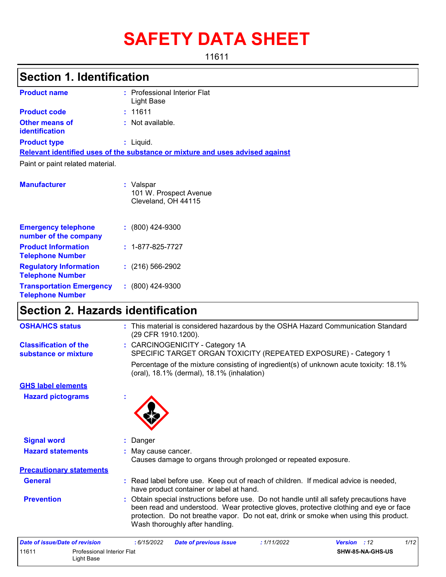# **SAFETY DATA SHEET**

11611

# **Section 1. Identification**

| <b>Product name</b>                            | : Professional Interior Flat<br>Light Base                                    |
|------------------------------------------------|-------------------------------------------------------------------------------|
| <b>Product code</b>                            | : 11611                                                                       |
| <b>Other means of</b><br><b>identification</b> | : Not available.                                                              |
| <b>Product type</b>                            | $:$ Liquid.                                                                   |
|                                                | Relevant identified uses of the substance or mixture and uses advised against |
| Paint or paint related material.               |                                                                               |
| <b>Manufacturer</b>                            | : Valspar<br>101 W. Prospect Avenue                                           |

Cleveland, OH 44115

| <b>Emergency telephone</b><br>number of the company        | $: (800)$ 424-9300       |
|------------------------------------------------------------|--------------------------|
| <b>Product Information</b><br><b>Telephone Number</b>      | $: 1 - 877 - 825 - 7727$ |
| <b>Regulatory Information</b><br><b>Telephone Number</b>   | $: (216) 566 - 2902$     |
| <b>Transportation Emergency</b><br><b>Telephone Number</b> | $: (800)$ 424-9300       |

# **Section 2. Hazards identification**

| <b>OSHA/HCS status</b>                               |   | : This material is considered hazardous by the OSHA Hazard Communication Standard<br>(29 CFR 1910.1200).                                                                                                                                                                                                     |
|------------------------------------------------------|---|--------------------------------------------------------------------------------------------------------------------------------------------------------------------------------------------------------------------------------------------------------------------------------------------------------------|
| <b>Classification of the</b><br>substance or mixture |   | : CARCINOGENICITY - Category 1A<br>SPECIFIC TARGET ORGAN TOXICITY (REPEATED EXPOSURE) - Category 1                                                                                                                                                                                                           |
|                                                      |   | Percentage of the mixture consisting of ingredient(s) of unknown acute toxicity: 18.1%<br>(oral), 18.1% (dermal), 18.1% (inhalation)                                                                                                                                                                         |
| <b>GHS label elements</b>                            |   |                                                                                                                                                                                                                                                                                                              |
| <b>Hazard pictograms</b>                             | ÷ |                                                                                                                                                                                                                                                                                                              |
| <b>Signal word</b>                                   |   | : Danger                                                                                                                                                                                                                                                                                                     |
| <b>Hazard statements</b>                             |   | May cause cancer.                                                                                                                                                                                                                                                                                            |
|                                                      |   | Causes damage to organs through prolonged or repeated exposure.                                                                                                                                                                                                                                              |
| <b>Precautionary statements</b>                      |   |                                                                                                                                                                                                                                                                                                              |
| <b>General</b>                                       |   | : Read label before use. Keep out of reach of children. If medical advice is needed,<br>have product container or label at hand.                                                                                                                                                                             |
| <b>Prevention</b>                                    |   | Obtain special instructions before use. Do not handle until all safety precautions have<br>been read and understood. Wear protective gloves, protective clothing and eye or face<br>protection. Do not breathe vapor. Do not eat, drink or smoke when using this product.<br>Wash thoroughly after handling. |

| Date of issue/Date of revision |                                          | : 6/15/2022 | <b>Date of previous issue</b> | : 1/11/2022 | 1/12<br><b>Version</b> : 12 |
|--------------------------------|------------------------------------------|-------------|-------------------------------|-------------|-----------------------------|
| 11611                          | Professional Interior Flat<br>Light Base |             |                               |             | SHW-85-NA-GHS-US            |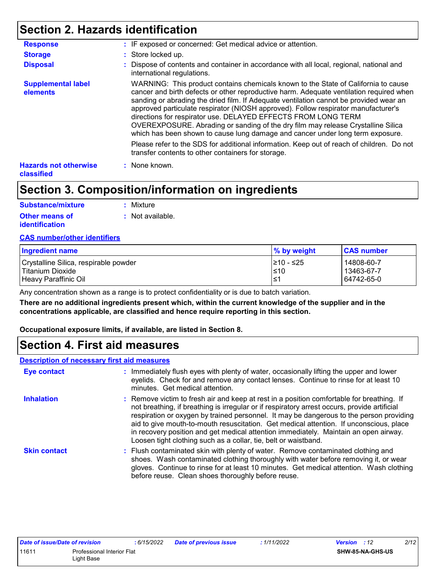# **Section 2. Hazards identification**

| <b>Response</b>                                   | : IF exposed or concerned: Get medical advice or attention.                                                                                                                                                                                                                                                                                                                                                                                                                                                                                                                                          |
|---------------------------------------------------|------------------------------------------------------------------------------------------------------------------------------------------------------------------------------------------------------------------------------------------------------------------------------------------------------------------------------------------------------------------------------------------------------------------------------------------------------------------------------------------------------------------------------------------------------------------------------------------------------|
| <b>Storage</b>                                    | : Store locked up.                                                                                                                                                                                                                                                                                                                                                                                                                                                                                                                                                                                   |
| <b>Disposal</b>                                   | : Dispose of contents and container in accordance with all local, regional, national and<br>international regulations.                                                                                                                                                                                                                                                                                                                                                                                                                                                                               |
| <b>Supplemental label</b><br>elements             | WARNING: This product contains chemicals known to the State of California to cause<br>cancer and birth defects or other reproductive harm. Adequate ventilation required when<br>sanding or abrading the dried film. If Adequate ventilation cannot be provided wear an<br>approved particulate respirator (NIOSH approved). Follow respirator manufacturer's<br>directions for respirator use. DELAYED EFFECTS FROM LONG TERM<br>OVEREXPOSURE. Abrading or sanding of the dry film may release Crystalline Silica<br>which has been shown to cause lung damage and cancer under long term exposure. |
|                                                   | Please refer to the SDS for additional information. Keep out of reach of children. Do not<br>transfer contents to other containers for storage.                                                                                                                                                                                                                                                                                                                                                                                                                                                      |
| <b>Hazards not otherwise</b><br><b>classified</b> | : None known.                                                                                                                                                                                                                                                                                                                                                                                                                                                                                                                                                                                        |

# **Section 3. Composition/information on ingredients**

| <b>Substance/mixture</b> | : Mixture                   |
|--------------------------|-----------------------------|
| <b>Other means of</b>    | $\therefore$ Not available. |
| identification           |                             |

#### **CAS number/other identifiers**

| % by weight | <b>CAS number</b> |
|-------------|-------------------|
| 1≥10 - ≤25  | 14808-60-7        |
| l≤10        | 13463-67-7        |
| ≀≥⊺         | 64742-65-0        |
|             |                   |

Any concentration shown as a range is to protect confidentiality or is due to batch variation.

**There are no additional ingredients present which, within the current knowledge of the supplier and in the concentrations applicable, are classified and hence require reporting in this section.**

**Occupational exposure limits, if available, are listed in Section 8.**

### **Section 4. First aid measures**

#### **Description of necessary first aid measures**

| Eye contact         | : Immediately flush eyes with plenty of water, occasionally lifting the upper and lower<br>eyelids. Check for and remove any contact lenses. Continue to rinse for at least 10<br>minutes. Get medical attention.                                                                                                                                                                                                                                                                                                                         |
|---------------------|-------------------------------------------------------------------------------------------------------------------------------------------------------------------------------------------------------------------------------------------------------------------------------------------------------------------------------------------------------------------------------------------------------------------------------------------------------------------------------------------------------------------------------------------|
| <b>Inhalation</b>   | : Remove victim to fresh air and keep at rest in a position comfortable for breathing. If<br>not breathing, if breathing is irregular or if respiratory arrest occurs, provide artificial<br>respiration or oxygen by trained personnel. It may be dangerous to the person providing<br>aid to give mouth-to-mouth resuscitation. Get medical attention. If unconscious, place<br>in recovery position and get medical attention immediately. Maintain an open airway.<br>Loosen tight clothing such as a collar, tie, belt or waistband. |
| <b>Skin contact</b> | : Flush contaminated skin with plenty of water. Remove contaminated clothing and<br>shoes. Wash contaminated clothing thoroughly with water before removing it, or wear<br>gloves. Continue to rinse for at least 10 minutes. Get medical attention. Wash clothing<br>before reuse. Clean shoes thoroughly before reuse.                                                                                                                                                                                                                  |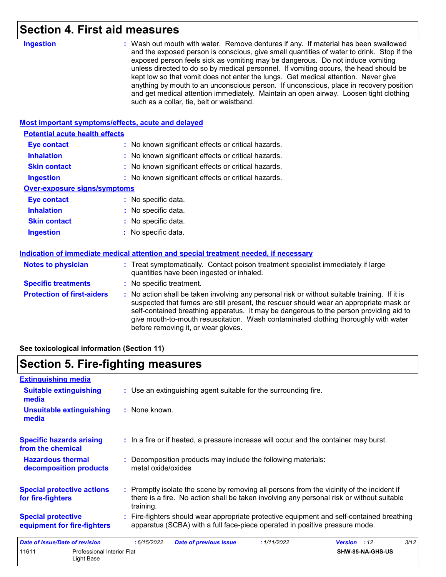# **Section 4. First aid measures**

| unless directed to do so by medical personnel. If vomiting occurs, the head should be<br>kept low so that vomit does not enter the lungs. Get medical attention. Never give<br>anything by mouth to an unconscious person. If unconscious, place in recovery position<br>and get medical attention immediately. Maintain an open airway. Loosen tight clothing<br>such as a collar, tie, belt or waistband.     |
|-----------------------------------------------------------------------------------------------------------------------------------------------------------------------------------------------------------------------------------------------------------------------------------------------------------------------------------------------------------------------------------------------------------------|
|                                                                                                                                                                                                                                                                                                                                                                                                                 |
| <b>Most important symptoms/effects, acute and delayed</b>                                                                                                                                                                                                                                                                                                                                                       |
|                                                                                                                                                                                                                                                                                                                                                                                                                 |
| : No known significant effects or critical hazards.                                                                                                                                                                                                                                                                                                                                                             |
| : No known significant effects or critical hazards.                                                                                                                                                                                                                                                                                                                                                             |
| : No known significant effects or critical hazards.                                                                                                                                                                                                                                                                                                                                                             |
| : No known significant effects or critical hazards.                                                                                                                                                                                                                                                                                                                                                             |
|                                                                                                                                                                                                                                                                                                                                                                                                                 |
| : No specific data.                                                                                                                                                                                                                                                                                                                                                                                             |
| : No specific data.                                                                                                                                                                                                                                                                                                                                                                                             |
| : No specific data.                                                                                                                                                                                                                                                                                                                                                                                             |
| : No specific data.                                                                                                                                                                                                                                                                                                                                                                                             |
| Indication of immediate medical attention and special treatment needed, if necessary                                                                                                                                                                                                                                                                                                                            |
| : Treat symptomatically. Contact poison treatment specialist immediately if large<br>quantities have been ingested or inhaled.                                                                                                                                                                                                                                                                                  |
| : No specific treatment.                                                                                                                                                                                                                                                                                                                                                                                        |
| : No action shall be taken involving any personal risk or without suitable training. If it is<br>suspected that fumes are still present, the rescuer should wear an appropriate mask or<br>self-contained breathing apparatus. It may be dangerous to the person providing aid to<br>give mouth-to-mouth resuscitation. Wash contaminated clothing thoroughly with water<br>before removing it, or wear gloves. |
|                                                                                                                                                                                                                                                                                                                                                                                                                 |

**See toxicological information (Section 11)**

# **Section 5. Fire-fighting measures**

| <b>Extinguishing media</b>                               |                                                 |                    |                                                                                                                                                                                        |             |                     |                  |      |
|----------------------------------------------------------|-------------------------------------------------|--------------------|----------------------------------------------------------------------------------------------------------------------------------------------------------------------------------------|-------------|---------------------|------------------|------|
| <b>Suitable extinguishing</b><br>media                   |                                                 |                    | : Use an extinguishing agent suitable for the surrounding fire.                                                                                                                        |             |                     |                  |      |
| <b>Unsuitable extinguishing</b><br>media                 |                                                 | : None known.      |                                                                                                                                                                                        |             |                     |                  |      |
| <b>Specific hazards arising</b><br>from the chemical     |                                                 |                    | : In a fire or if heated, a pressure increase will occur and the container may burst.                                                                                                  |             |                     |                  |      |
| <b>Hazardous thermal</b><br>decomposition products       |                                                 | metal oxide/oxides | : Decomposition products may include the following materials:                                                                                                                          |             |                     |                  |      |
| <b>Special protective actions</b><br>for fire-fighters   |                                                 | training.          | : Promptly isolate the scene by removing all persons from the vicinity of the incident if<br>there is a fire. No action shall be taken involving any personal risk or without suitable |             |                     |                  |      |
| <b>Special protective</b><br>equipment for fire-fighters |                                                 |                    | : Fire-fighters should wear appropriate protective equipment and self-contained breathing<br>apparatus (SCBA) with a full face-piece operated in positive pressure mode.               |             |                     |                  |      |
| <b>Date of issue/Date of revision</b>                    |                                                 | :6/15/2022         | <b>Date of previous issue</b>                                                                                                                                                          | : 1/11/2022 | <b>Version</b> : 12 |                  | 3/12 |
| 11611                                                    | <b>Professional Interior Flat</b><br>Light Base |                    |                                                                                                                                                                                        |             |                     | SHW-85-NA-GHS-US |      |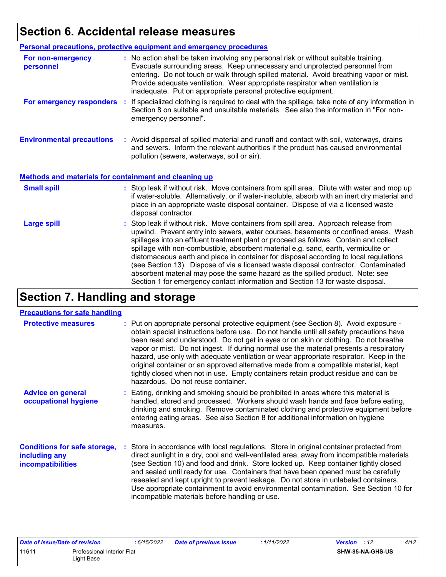# **Section 6. Accidental release measures**

|                                                              | Personal precautions, protective equipment and emergency procedures                                                                                                                                                                                                                                                                                                                                                                                                                                                                                                                                                                                                                                          |
|--------------------------------------------------------------|--------------------------------------------------------------------------------------------------------------------------------------------------------------------------------------------------------------------------------------------------------------------------------------------------------------------------------------------------------------------------------------------------------------------------------------------------------------------------------------------------------------------------------------------------------------------------------------------------------------------------------------------------------------------------------------------------------------|
| For non-emergency<br>personnel                               | : No action shall be taken involving any personal risk or without suitable training.<br>Evacuate surrounding areas. Keep unnecessary and unprotected personnel from<br>entering. Do not touch or walk through spilled material. Avoid breathing vapor or mist.<br>Provide adequate ventilation. Wear appropriate respirator when ventilation is<br>inadequate. Put on appropriate personal protective equipment.                                                                                                                                                                                                                                                                                             |
| For emergency responders                                     | : If specialized clothing is required to deal with the spillage, take note of any information in<br>Section 8 on suitable and unsuitable materials. See also the information in "For non-<br>emergency personnel".                                                                                                                                                                                                                                                                                                                                                                                                                                                                                           |
| <b>Environmental precautions</b>                             | : Avoid dispersal of spilled material and runoff and contact with soil, waterways, drains<br>and sewers. Inform the relevant authorities if the product has caused environmental<br>pollution (sewers, waterways, soil or air).                                                                                                                                                                                                                                                                                                                                                                                                                                                                              |
| <b>Methods and materials for containment and cleaning up</b> |                                                                                                                                                                                                                                                                                                                                                                                                                                                                                                                                                                                                                                                                                                              |
| <b>Small spill</b>                                           | : Stop leak if without risk. Move containers from spill area. Dilute with water and mop up<br>if water-soluble. Alternatively, or if water-insoluble, absorb with an inert dry material and<br>place in an appropriate waste disposal container. Dispose of via a licensed waste<br>disposal contractor.                                                                                                                                                                                                                                                                                                                                                                                                     |
| <b>Large spill</b>                                           | : Stop leak if without risk. Move containers from spill area. Approach release from<br>upwind. Prevent entry into sewers, water courses, basements or confined areas. Wash<br>spillages into an effluent treatment plant or proceed as follows. Contain and collect<br>spillage with non-combustible, absorbent material e.g. sand, earth, vermiculite or<br>diatomaceous earth and place in container for disposal according to local regulations<br>(see Section 13). Dispose of via a licensed waste disposal contractor. Contaminated<br>absorbent material may pose the same hazard as the spilled product. Note: see<br>Section 1 for emergency contact information and Section 13 for waste disposal. |

# **Section 7. Handling and storage**

#### **Precautions for safe handling**

| <b>Protective measures</b>                                                | : Put on appropriate personal protective equipment (see Section 8). Avoid exposure -<br>obtain special instructions before use. Do not handle until all safety precautions have<br>been read and understood. Do not get in eyes or on skin or clothing. Do not breathe<br>vapor or mist. Do not ingest. If during normal use the material presents a respiratory<br>hazard, use only with adequate ventilation or wear appropriate respirator. Keep in the<br>original container or an approved alternative made from a compatible material, kept<br>tightly closed when not in use. Empty containers retain product residue and can be<br>hazardous. Do not reuse container. |
|---------------------------------------------------------------------------|-------------------------------------------------------------------------------------------------------------------------------------------------------------------------------------------------------------------------------------------------------------------------------------------------------------------------------------------------------------------------------------------------------------------------------------------------------------------------------------------------------------------------------------------------------------------------------------------------------------------------------------------------------------------------------|
| <b>Advice on general</b><br>occupational hygiene                          | : Eating, drinking and smoking should be prohibited in areas where this material is<br>handled, stored and processed. Workers should wash hands and face before eating,<br>drinking and smoking. Remove contaminated clothing and protective equipment before<br>entering eating areas. See also Section 8 for additional information on hygiene<br>measures.                                                                                                                                                                                                                                                                                                                 |
| <b>Conditions for safe storage,</b><br>including any<br>incompatibilities | : Store in accordance with local regulations. Store in original container protected from<br>direct sunlight in a dry, cool and well-ventilated area, away from incompatible materials<br>(see Section 10) and food and drink. Store locked up. Keep container tightly closed<br>and sealed until ready for use. Containers that have been opened must be carefully<br>resealed and kept upright to prevent leakage. Do not store in unlabeled containers.<br>Use appropriate containment to avoid environmental contamination. See Section 10 for<br>incompatible materials before handling or use.                                                                           |

|                                     | Date of issue/Date of revision | : 6/15/2022 | Date of previous issue | : 1/11/2022 | <b>Version</b> : 12 | 4/12 |
|-------------------------------------|--------------------------------|-------------|------------------------|-------------|---------------------|------|
| 11611<br>Professional Interior Flat |                                |             |                        |             | SHW-85-NA-GHS-US    |      |
|                                     | Light Base                     |             |                        |             |                     |      |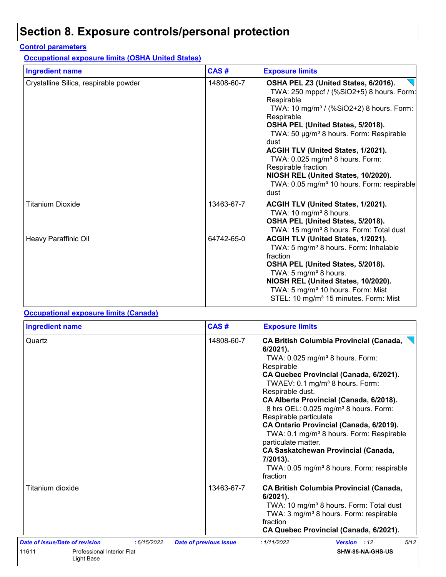# **Section 8. Exposure controls/personal protection**

#### **Control parameters**

**Occupational exposure limits (OSHA United States)**

| <b>Ingredient name</b>                | CAS#       | <b>Exposure limits</b>                                                                                                                                                                                                                                                                                                                                                                                                                                                                         |
|---------------------------------------|------------|------------------------------------------------------------------------------------------------------------------------------------------------------------------------------------------------------------------------------------------------------------------------------------------------------------------------------------------------------------------------------------------------------------------------------------------------------------------------------------------------|
| Crystalline Silica, respirable powder | 14808-60-7 | OSHA PEL Z3 (United States, 6/2016).<br>TWA: 250 mppcf / (%SiO2+5) 8 hours. Form:<br>Respirable<br>TWA: 10 mg/m <sup>3</sup> / (%SiO2+2) 8 hours. Form:<br>Respirable<br>OSHA PEL (United States, 5/2018).<br>TWA: 50 µg/m <sup>3</sup> 8 hours. Form: Respirable<br>dust<br>ACGIH TLV (United States, 1/2021).<br>TWA: 0.025 mg/m <sup>3</sup> 8 hours. Form:<br>Respirable fraction<br>NIOSH REL (United States, 10/2020).<br>TWA: 0.05 mg/m <sup>3</sup> 10 hours. Form: respirable<br>dust |
| <b>Titanium Dioxide</b>               | 13463-67-7 | ACGIH TLV (United States, 1/2021).<br>TWA: 10 mg/m <sup>3</sup> 8 hours.<br>OSHA PEL (United States, 5/2018).<br>TWA: 15 mg/m <sup>3</sup> 8 hours. Form: Total dust                                                                                                                                                                                                                                                                                                                           |
| Heavy Paraffinic Oil                  | 64742-65-0 | ACGIH TLV (United States, 1/2021).<br>TWA: 5 mg/m <sup>3</sup> 8 hours. Form: Inhalable<br>fraction<br>OSHA PEL (United States, 5/2018).<br>TWA: 5 mg/m <sup>3</sup> 8 hours.<br>NIOSH REL (United States, 10/2020).<br>TWA: 5 mg/m <sup>3</sup> 10 hours. Form: Mist<br>STEL: 10 mg/m <sup>3</sup> 15 minutes. Form: Mist                                                                                                                                                                     |

#### **Occupational exposure limits (Canada)**

| <b>Ingredient name</b>                            | CAS#                          | <b>Exposure limits</b>                                                                                                                                                                                                                                                                                                                                                                                                                                                                                                                                                                                                     |  |  |
|---------------------------------------------------|-------------------------------|----------------------------------------------------------------------------------------------------------------------------------------------------------------------------------------------------------------------------------------------------------------------------------------------------------------------------------------------------------------------------------------------------------------------------------------------------------------------------------------------------------------------------------------------------------------------------------------------------------------------------|--|--|
| Quartz                                            | 14808-60-7                    | <b>CA British Columbia Provincial (Canada,</b><br>$6/2021$ ).<br>TWA: 0.025 mg/m <sup>3</sup> 8 hours. Form:<br>Respirable<br>CA Quebec Provincial (Canada, 6/2021).<br>TWAEV: 0.1 mg/m <sup>3</sup> 8 hours. Form:<br>Respirable dust.<br>CA Alberta Provincial (Canada, 6/2018).<br>8 hrs OEL: 0.025 mg/m <sup>3</sup> 8 hours. Form:<br>Respirable particulate<br>CA Ontario Provincial (Canada, 6/2019).<br>TWA: 0.1 mg/m <sup>3</sup> 8 hours. Form: Respirable<br>particulate matter.<br><b>CA Saskatchewan Provincial (Canada,</b><br>7/2013).<br>TWA: 0.05 mg/m <sup>3</sup> 8 hours. Form: respirable<br>fraction |  |  |
| Titanium dioxide                                  | 13463-67-7                    | <b>CA British Columbia Provincial (Canada,</b><br>$6/2021$ ).<br>TWA: 10 mg/m <sup>3</sup> 8 hours. Form: Total dust<br>TWA: 3 mg/m <sup>3</sup> 8 hours. Form: respirable<br>fraction<br>CA Quebec Provincial (Canada, 6/2021).                                                                                                                                                                                                                                                                                                                                                                                           |  |  |
| Date of issue/Date of revision<br>:6/15/2022      | <b>Date of previous issue</b> | 5/12<br>: 1/11/2022<br>Version : 12                                                                                                                                                                                                                                                                                                                                                                                                                                                                                                                                                                                        |  |  |
| 11611<br>Professional Interior Flat<br>Light Base |                               | SHW-85-NA-GHS-US                                                                                                                                                                                                                                                                                                                                                                                                                                                                                                                                                                                                           |  |  |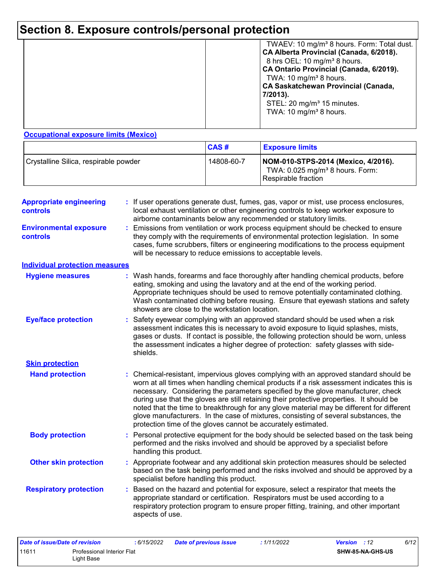# **Section 8. Exposure controls/personal protection**

|  | TWAEV: 10 mg/m <sup>3</sup> 8 hours. Form: Total dust.<br>CA Alberta Provincial (Canada, 6/2018).<br>8 hrs OEL: 10 mg/m <sup>3</sup> 8 hours.<br>CA Ontario Provincial (Canada, 6/2019).<br>TWA: 10 mg/m <sup>3</sup> 8 hours.<br><b>CA Saskatchewan Provincial (Canada,</b><br>7/2013).<br>STEL: 20 mg/m <sup>3</sup> 15 minutes.<br>TWA: 10 mg/m <sup>3</sup> 8 hours. |
|--|--------------------------------------------------------------------------------------------------------------------------------------------------------------------------------------------------------------------------------------------------------------------------------------------------------------------------------------------------------------------------|
|--|--------------------------------------------------------------------------------------------------------------------------------------------------------------------------------------------------------------------------------------------------------------------------------------------------------------------------------------------------------------------------|

#### **Occupational exposure limits (Mexico)**

|                                       | CAS#       | <b>Exposure limits</b>                                                                                    |
|---------------------------------------|------------|-----------------------------------------------------------------------------------------------------------|
| Crystalline Silica, respirable powder | 14808-60-7 | NOM-010-STPS-2014 (Mexico, 4/2016).<br>TWA: 0.025 mg/m <sup>3</sup> 8 hours. Form:<br>Respirable fraction |

| <b>Appropriate engineering</b><br><b>controls</b> |    | : If user operations generate dust, fumes, gas, vapor or mist, use process enclosures,<br>local exhaust ventilation or other engineering controls to keep worker exposure to<br>airborne contaminants below any recommended or statutory limits.                                                                                                                                                                                                                                                                                                                                                                     |
|---------------------------------------------------|----|----------------------------------------------------------------------------------------------------------------------------------------------------------------------------------------------------------------------------------------------------------------------------------------------------------------------------------------------------------------------------------------------------------------------------------------------------------------------------------------------------------------------------------------------------------------------------------------------------------------------|
| <b>Environmental exposure</b><br><b>controls</b>  |    | Emissions from ventilation or work process equipment should be checked to ensure<br>they comply with the requirements of environmental protection legislation. In some<br>cases, fume scrubbers, filters or engineering modifications to the process equipment<br>will be necessary to reduce emissions to acceptable levels.                                                                                                                                                                                                                                                                                        |
| <b>Individual protection measures</b>             |    |                                                                                                                                                                                                                                                                                                                                                                                                                                                                                                                                                                                                                      |
| <b>Hygiene measures</b>                           |    | Wash hands, forearms and face thoroughly after handling chemical products, before<br>eating, smoking and using the lavatory and at the end of the working period.<br>Appropriate techniques should be used to remove potentially contaminated clothing.<br>Wash contaminated clothing before reusing. Ensure that eyewash stations and safety<br>showers are close to the workstation location.                                                                                                                                                                                                                      |
| <b>Eye/face protection</b>                        |    | Safety eyewear complying with an approved standard should be used when a risk<br>assessment indicates this is necessary to avoid exposure to liquid splashes, mists,<br>gases or dusts. If contact is possible, the following protection should be worn, unless<br>the assessment indicates a higher degree of protection: safety glasses with side-<br>shields.                                                                                                                                                                                                                                                     |
| <b>Skin protection</b>                            |    |                                                                                                                                                                                                                                                                                                                                                                                                                                                                                                                                                                                                                      |
| <b>Hand protection</b>                            |    | Chemical-resistant, impervious gloves complying with an approved standard should be<br>worn at all times when handling chemical products if a risk assessment indicates this is<br>necessary. Considering the parameters specified by the glove manufacturer, check<br>during use that the gloves are still retaining their protective properties. It should be<br>noted that the time to breakthrough for any glove material may be different for different<br>glove manufacturers. In the case of mixtures, consisting of several substances, the<br>protection time of the gloves cannot be accurately estimated. |
| <b>Body protection</b>                            |    | Personal protective equipment for the body should be selected based on the task being<br>performed and the risks involved and should be approved by a specialist before<br>handling this product.                                                                                                                                                                                                                                                                                                                                                                                                                    |
| <b>Other skin protection</b>                      |    | Appropriate footwear and any additional skin protection measures should be selected<br>based on the task being performed and the risks involved and should be approved by a<br>specialist before handling this product.                                                                                                                                                                                                                                                                                                                                                                                              |
| <b>Respiratory protection</b>                     | ÷. | Based on the hazard and potential for exposure, select a respirator that meets the<br>appropriate standard or certification. Respirators must be used according to a<br>respiratory protection program to ensure proper fitting, training, and other important<br>aspects of use.                                                                                                                                                                                                                                                                                                                                    |

| Date of issue/Date of revision      |            | : 6/15/2022 | <b>Date of previous issue</b> | : 1/11/2022             | <b>Version</b> : 12 | 6/12 |
|-------------------------------------|------------|-------------|-------------------------------|-------------------------|---------------------|------|
| 11611<br>Professional Interior Flat |            |             |                               | <b>SHW-85-NA-GHS-US</b> |                     |      |
|                                     | Light Base |             |                               |                         |                     |      |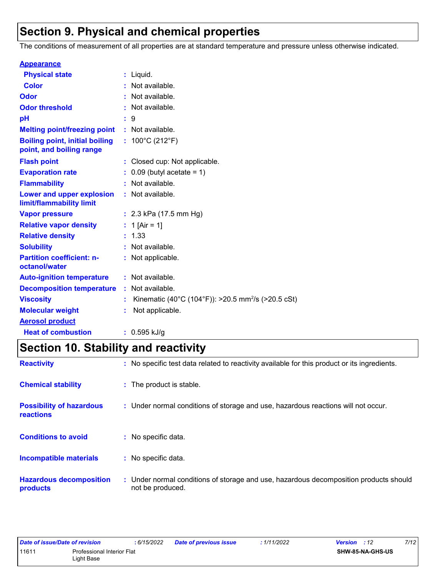# **Section 9. Physical and chemical properties**

The conditions of measurement of all properties are at standard temperature and pressure unless otherwise indicated.

| <b>Appearance</b>                                                 |                                                                |
|-------------------------------------------------------------------|----------------------------------------------------------------|
| <b>Physical state</b>                                             | $:$ Liquid.                                                    |
| <b>Color</b>                                                      | : Not available.                                               |
| Odor                                                              | : Not available.                                               |
| <b>Odor threshold</b>                                             | : Not available.                                               |
| рH                                                                | : 9                                                            |
| <b>Melting point/freezing point</b>                               | : Not available.                                               |
| <b>Boiling point, initial boiling</b><br>point, and boiling range | : $100^{\circ}$ C (212 $^{\circ}$ F)                           |
| <b>Flash point</b>                                                | : Closed cup: Not applicable.                                  |
| <b>Evaporation rate</b>                                           | $0.09$ (butyl acetate = 1)                                     |
| <b>Flammability</b>                                               | : Not available.                                               |
| Lower and upper explosion<br>limit/flammability limit             | : Not available.                                               |
| <b>Vapor pressure</b>                                             | : $2.3$ kPa (17.5 mm Hg)                                       |
| <b>Relative vapor density</b>                                     | : 1 [Air = 1]                                                  |
| <b>Relative density</b>                                           | : 1.33                                                         |
| <b>Solubility</b>                                                 | : Not available.                                               |
| <b>Partition coefficient: n-</b><br>octanol/water                 | : Not applicable.                                              |
| <b>Auto-ignition temperature</b>                                  | : Not available.                                               |
| <b>Decomposition temperature</b>                                  | : Not available.                                               |
| <b>Viscosity</b>                                                  | Kinematic (40°C (104°F)): >20.5 mm <sup>2</sup> /s (>20.5 cSt) |
| <b>Molecular weight</b>                                           | Not applicable.                                                |
| <b>Aerosol product</b>                                            |                                                                |
| <b>Heat of combustion</b>                                         | $: 0.595$ kJ/g                                                 |

# **Section 10. Stability and reactivity**

| <b>Reactivity</b>                            | : No specific test data related to reactivity available for this product or its ingredients.              |  |
|----------------------------------------------|-----------------------------------------------------------------------------------------------------------|--|
| <b>Chemical stability</b>                    | : The product is stable.                                                                                  |  |
| <b>Possibility of hazardous</b><br>reactions | : Under normal conditions of storage and use, hazardous reactions will not occur.                         |  |
| <b>Conditions to avoid</b>                   | : No specific data.                                                                                       |  |
| Incompatible materials                       | : No specific data.                                                                                       |  |
| <b>Hazardous decomposition</b><br>products   | : Under normal conditions of storage and use, hazardous decomposition products should<br>not be produced. |  |

|                                     | Date of issue/Date of revision | : 6/15/2022 | <b>Date of previous issue</b> | : 1/11/2022 | <b>Version</b> : 12 | 7/12 |
|-------------------------------------|--------------------------------|-------------|-------------------------------|-------------|---------------------|------|
| 11611<br>Professional Interior Flat |                                |             |                               |             | SHW-85-NA-GHS-US    |      |
| Light Base                          |                                |             |                               |             |                     |      |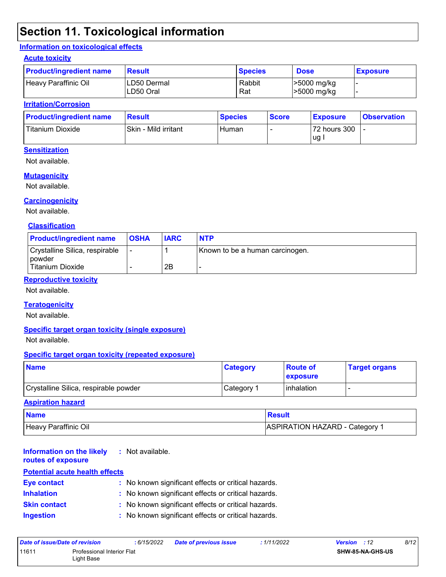# **Section 11. Toxicological information**

#### **Information on toxicological effects**

#### **Acute toxicity**

| <b>Product/ingredient name</b> | <b>Result</b>             | <b>Species</b> | <b>Dose</b>                | <b>Exposure</b> |
|--------------------------------|---------------------------|----------------|----------------------------|-----------------|
| Heavy Paraffinic Oil           | ILD50 Dermal<br>LD50 Oral | Rabbit<br>Rat  | >5000 mg/kg<br>>5000 mg/kg |                 |

#### **Irritation/Corrosion**

| <b>Product/ingredient name</b> | <b>Result</b>        | <b>Species</b> | <b>Score</b> | <b>Exposure</b> | <b>Observation</b> |
|--------------------------------|----------------------|----------------|--------------|-----------------|--------------------|
| Titanium Dioxide               | Skin - Mild irritant | Human          |              | 72 hours 300    |                    |
|                                |                      |                |              | ug              |                    |

#### **Sensitization**

Not available.

#### **Mutagenicity**

Not available.

#### **Carcinogenicity**

Not available.

#### **Classification**

| <b>Product/ingredient name</b>             | <b>OSHA</b>    | <b>IARC</b> | <b>NTP</b>                      |
|--------------------------------------------|----------------|-------------|---------------------------------|
| Crystalline Silica, respirable<br>l powder | $\blacksquare$ |             | Known to be a human carcinogen. |
| <b>Titanium Dioxide</b>                    |                | 2Β          |                                 |

#### **Reproductive toxicity**

Not available.

#### **Teratogenicity**

Not available.

#### **Specific target organ toxicity (single exposure)**

Not available.

#### **Specific target organ toxicity (repeated exposure)**

| <b>Name</b>                           | <b>Category</b> | <b>Route of</b><br><b>Lexposure</b> | <b>Target organs</b> |
|---------------------------------------|-----------------|-------------------------------------|----------------------|
| Crystalline Silica, respirable powder | Category 1      | <b>linhalation</b>                  |                      |

#### **Aspiration hazard**

| <b>Name</b>          | Result                                |
|----------------------|---------------------------------------|
| Heavy Paraffinic Oil | <b>ASPIRATION HAZARD - Category 1</b> |

#### **Information on the likely routes of exposure :** Not available.

#### **Inhalation :** No known significant effects or critical hazards. **Ingestion :** No known significant effects or critical hazards. **Skin contact :** No known significant effects or critical hazards. **Eye contact :** No known significant effects or critical hazards. **Potential acute health effects**

| Date of issue/Date of revision |                                          | : 6/15/2022 | <b>Date of previous issue</b> | : 1/11/2022 | <b>Version</b> : 12 | 8/12 |
|--------------------------------|------------------------------------------|-------------|-------------------------------|-------------|---------------------|------|
| 11611                          | Professional Interior Flat<br>Light Base |             |                               |             | SHW-85-NA-GHS-US    |      |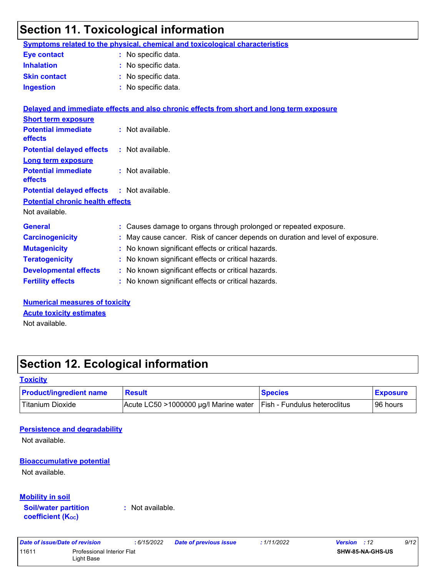# **Section 11. Toxicological information**

|                                         | Symptoms related to the physical, chemical and toxicological characteristics             |
|-----------------------------------------|------------------------------------------------------------------------------------------|
| <b>Eye contact</b>                      | : No specific data.                                                                      |
| <b>Inhalation</b>                       | : No specific data.                                                                      |
| <b>Skin contact</b>                     | : No specific data.                                                                      |
| <b>Ingestion</b>                        | : No specific data.                                                                      |
|                                         | Delayed and immediate effects and also chronic effects from short and long term exposure |
| <b>Short term exposure</b>              |                                                                                          |
| <b>Potential immediate</b><br>effects   | : Not available.                                                                         |
| <b>Potential delayed effects</b>        | : Not available.                                                                         |
| <b>Long term exposure</b>               |                                                                                          |
| <b>Potential immediate</b><br>effects   | : Not available.                                                                         |
| <b>Potential delayed effects</b>        | : Not available.                                                                         |
| <b>Potential chronic health effects</b> |                                                                                          |
| Not available.                          |                                                                                          |
| <b>General</b>                          | : Causes damage to organs through prolonged or repeated exposure.                        |
| <b>Carcinogenicity</b>                  | : May cause cancer. Risk of cancer depends on duration and level of exposure.            |
| <b>Mutagenicity</b>                     | : No known significant effects or critical hazards.                                      |
| <b>Teratogenicity</b>                   | : No known significant effects or critical hazards.                                      |
| <b>Developmental effects</b>            | : No known significant effects or critical hazards.                                      |
| <b>Fertility effects</b>                | : No known significant effects or critical hazards.                                      |
| <b>Numerical measures of toxicity</b>   |                                                                                          |
|                                         |                                                                                          |

**Acute toxicity estimates**

Not available.

# **Section 12. Ecological information**

#### **Toxicity**

| <b>Product/ingredient name</b> | Result                                | <b>Species</b>                      | <b>Exposure</b> |
|--------------------------------|---------------------------------------|-------------------------------------|-----------------|
| Titanium Dioxide               | Acute LC50 >1000000 µg/l Marine water | <b>Fish - Fundulus heteroclitus</b> | 96 hours        |

#### **Persistence and degradability**

Not available.

#### **Bioaccumulative potential**

Not available.

#### **Mobility in soil**

**Soil/water partition coefficient (KOC)**

**:** Not available.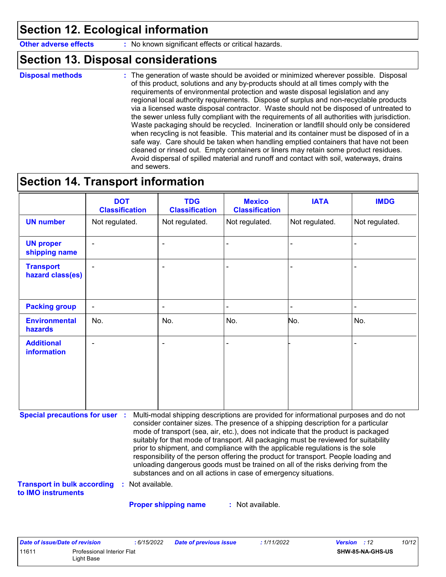# **Section 12. Ecological information**

**Other adverse effects** : No known significant effects or critical hazards.

### **Section 13. Disposal considerations**

```
Disposal methods :
```
The generation of waste should be avoided or minimized wherever possible. Disposal of this product, solutions and any by-products should at all times comply with the requirements of environmental protection and waste disposal legislation and any regional local authority requirements. Dispose of surplus and non-recyclable products via a licensed waste disposal contractor. Waste should not be disposed of untreated to the sewer unless fully compliant with the requirements of all authorities with jurisdiction. Waste packaging should be recycled. Incineration or landfill should only be considered when recycling is not feasible. This material and its container must be disposed of in a safe way. Care should be taken when handling emptied containers that have not been cleaned or rinsed out. Empty containers or liners may retain some product residues. Avoid dispersal of spilled material and runoff and contact with soil, waterways, drains and sewers.

### **Section 14. Transport information**

|                                         | <b>DOT</b><br><b>Classification</b> | <b>TDG</b><br><b>Classification</b> | <b>Mexico</b><br><b>Classification</b> | <b>IATA</b>    | <b>IMDG</b>    |
|-----------------------------------------|-------------------------------------|-------------------------------------|----------------------------------------|----------------|----------------|
| <b>UN number</b>                        | Not regulated.                      | Not regulated.                      | Not regulated.                         | Not regulated. | Not regulated. |
| <b>UN proper</b><br>shipping name       | $\overline{\phantom{a}}$            | ۰                                   | $\blacksquare$                         |                | ۰              |
| <b>Transport</b><br>hazard class(es)    | $\sim$                              | ۰                                   |                                        |                |                |
| <b>Packing group</b>                    | $\blacksquare$                      | ۰                                   | $\blacksquare$                         |                | $\blacksquare$ |
| <b>Environmental</b><br>hazards         | No.                                 | No.                                 | No.                                    | No.            | No.            |
| <b>Additional</b><br><b>information</b> | $\overline{\phantom{0}}$            | ٠                                   | L,                                     |                |                |

**Special precautions for user :** Multi-modal shipping descriptions are provided for informational purposes and do not consider container sizes. The presence of a shipping description for a particular mode of transport (sea, air, etc.), does not indicate that the product is packaged suitably for that mode of transport. All packaging must be reviewed for suitability prior to shipment, and compliance with the applicable regulations is the sole responsibility of the person offering the product for transport. People loading and unloading dangerous goods must be trained on all of the risks deriving from the substances and on all actions in case of emergency situations.

**Transport in bulk according to IMO instruments :** Not available.

**Proper shipping name :**

: Not available.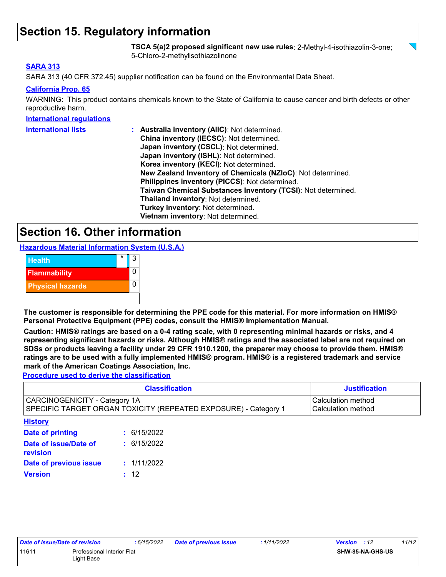## **Section 15. Regulatory information**

**TSCA 5(a)2 proposed significant new use rules**: 2-Methyl-4-isothiazolin-3-one; 5-Chloro-2-methylisothiazolinone

#### **SARA 313**

SARA 313 (40 CFR 372.45) supplier notification can be found on the Environmental Data Sheet.

#### **California Prop. 65**

WARNING: This product contains chemicals known to the State of California to cause cancer and birth defects or other reproductive harm.

#### **International regulations**

| <b>International lists</b> | : Australia inventory (AIIC): Not determined.                |
|----------------------------|--------------------------------------------------------------|
|                            | China inventory (IECSC): Not determined.                     |
|                            | Japan inventory (CSCL): Not determined.                      |
|                            | Japan inventory (ISHL): Not determined.                      |
|                            | Korea inventory (KECI): Not determined.                      |
|                            | New Zealand Inventory of Chemicals (NZIoC): Not determined.  |
|                            | Philippines inventory (PICCS): Not determined.               |
|                            | Taiwan Chemical Substances Inventory (TCSI): Not determined. |
|                            | Thailand inventory: Not determined.                          |
|                            | Turkey inventory: Not determined.                            |
|                            | Vietnam inventory: Not determined.                           |

### **Section 16. Other information**

**Hazardous Material Information System (U.S.A.)**



**The customer is responsible for determining the PPE code for this material. For more information on HMIS® Personal Protective Equipment (PPE) codes, consult the HMIS® Implementation Manual.**

**Caution: HMIS® ratings are based on a 0-4 rating scale, with 0 representing minimal hazards or risks, and 4 representing significant hazards or risks. Although HMIS® ratings and the associated label are not required on SDSs or products leaving a facility under 29 CFR 1910.1200, the preparer may choose to provide them. HMIS® ratings are to be used with a fully implemented HMIS® program. HMIS® is a registered trademark and service mark of the American Coatings Association, Inc.**

**Procedure used to derive the classification**

| <b>Classification</b>                                                                            | <b>Justification</b>                            |
|--------------------------------------------------------------------------------------------------|-------------------------------------------------|
| CARCINOGENICITY - Category 1A<br>SPECIFIC TARGET ORGAN TOXICITY (REPEATED EXPOSURE) - Category 1 | Calculation method<br><b>Calculation method</b> |
| <b>The Common</b>                                                                                |                                                 |

| : 6/15/2022 |
|-------------|
| : 6/15/2022 |
| : 1/11/2022 |
| : 12        |
|             |